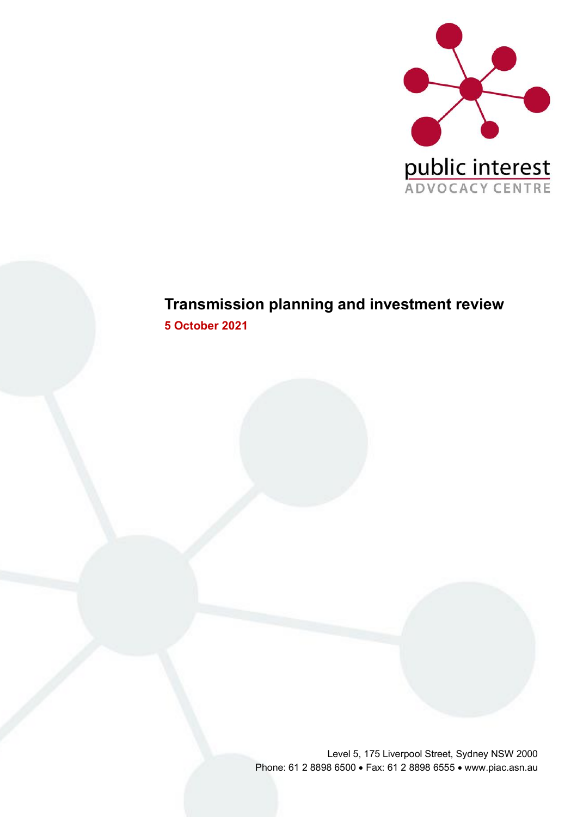

# **Transmission planning and investment review**

**5 October 2021**

Level 5, 175 Liverpool Street, Sydney NSW 2000 Phone: 61 2 8898 6500 • Fax: 61 2 8898 6555 • www.piac.asn.au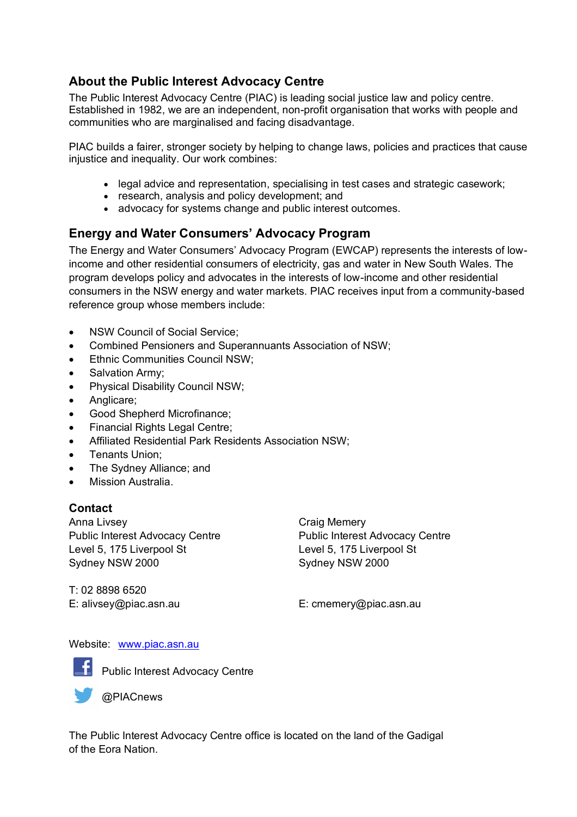#### **About the Public Interest Advocacy Centre**

The Public Interest Advocacy Centre (PIAC) is leading social justice law and policy centre. Established in 1982, we are an independent, non-profit organisation that works with people and communities who are marginalised and facing disadvantage.

PIAC builds a fairer, stronger society by helping to change laws, policies and practices that cause injustice and inequality. Our work combines:

- legal advice and representation, specialising in test cases and strategic casework;
- research, analysis and policy development; and
- advocacy for systems change and public interest outcomes.

#### **Energy and Water Consumers' Advocacy Program**

The Energy and Water Consumers' Advocacy Program (EWCAP) represents the interests of lowincome and other residential consumers of electricity, gas and water in New South Wales. The program develops policy and advocates in the interests of low-income and other residential consumers in the NSW energy and water markets. PIAC receives input from a community-based reference group whose members include:

- NSW Council of Social Service:
- Combined Pensioners and Superannuants Association of NSW;
- Ethnic Communities Council NSW;
- Salvation Army;
- Physical Disability Council NSW;
- Anglicare;
- Good Shepherd Microfinance;
- Financial Rights Legal Centre;
- Affiliated Residential Park Residents Association NSW;
- Tenants Union;
- The Sydney Alliance; and
- Mission Australia.

#### **Contact**

Anna Livsey Public Interest Advocacy Centre Level 5, 175 Liverpool St Sydney NSW 2000

Craig Memery Public Interest Advocacy Centre Level 5, 175 Liverpool St Sydney NSW 2000

T: 02 8898 6520 E: alivsey@piac.asn.au

E: cmemery@piac.asn.au

#### Website: [www.piac.asn.au](http://www.piac.asn.au/)



**F** Public Interest Advocacy Centre

@PIACnews

The Public Interest Advocacy Centre office is located on the land of the Gadigal of the Eora Nation.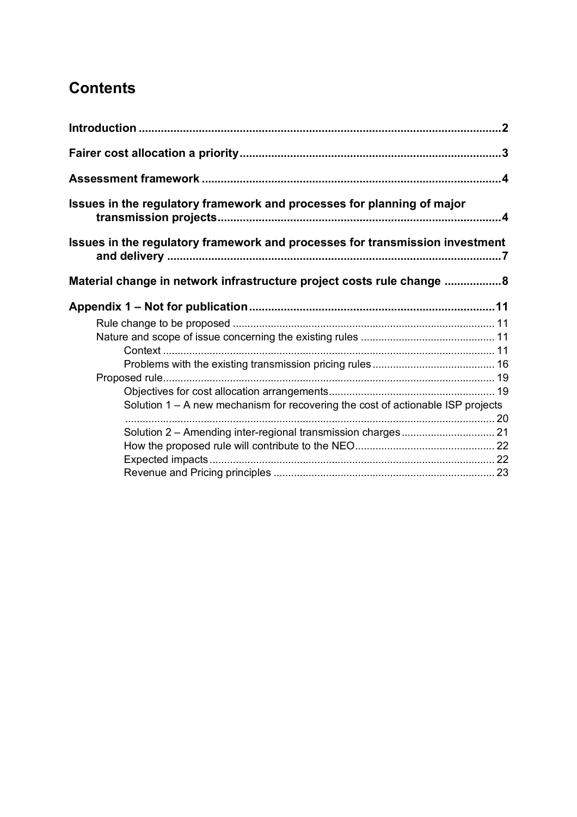# **Contents**

| Issues in the regulatory framework and processes for planning of major          |  |
|---------------------------------------------------------------------------------|--|
| Issues in the regulatory framework and processes for transmission investment    |  |
| Material change in network infrastructure project costs rule change 8           |  |
|                                                                                 |  |
|                                                                                 |  |
|                                                                                 |  |
|                                                                                 |  |
|                                                                                 |  |
|                                                                                 |  |
|                                                                                 |  |
| Solution 1 - A new mechanism for recovering the cost of actionable ISP projects |  |
|                                                                                 |  |
|                                                                                 |  |
|                                                                                 |  |
|                                                                                 |  |
|                                                                                 |  |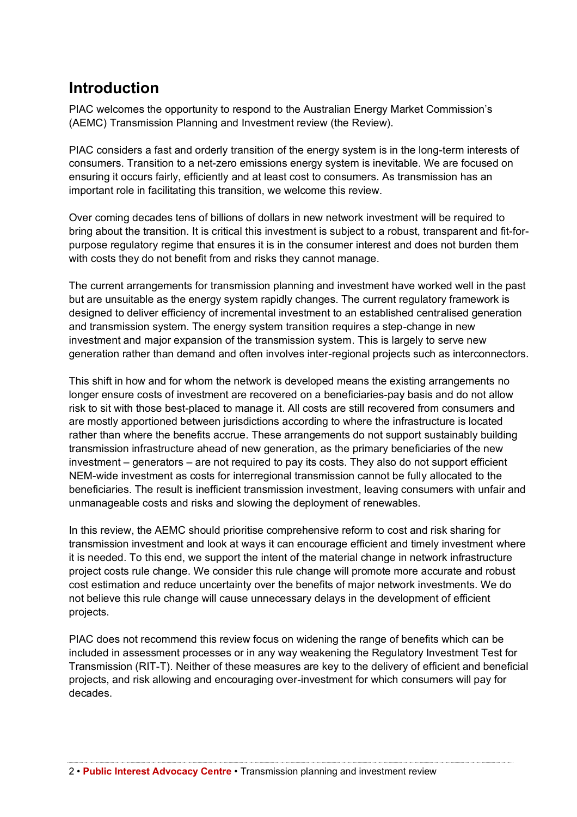## <span id="page-5-0"></span>**Introduction**

PIAC welcomes the opportunity to respond to the Australian Energy Market Commission's (AEMC) Transmission Planning and Investment review (the Review).

PIAC considers a fast and orderly transition of the energy system is in the long-term interests of consumers. Transition to a net-zero emissions energy system is inevitable. We are focused on ensuring it occurs fairly, efficiently and at least cost to consumers. As transmission has an important role in facilitating this transition, we welcome this review.

Over coming decades tens of billions of dollars in new network investment will be required to bring about the transition. It is critical this investment is subject to a robust, transparent and fit-forpurpose regulatory regime that ensures it is in the consumer interest and does not burden them with costs they do not benefit from and risks they cannot manage.

The current arrangements for transmission planning and investment have worked well in the past but are unsuitable as the energy system rapidly changes. The current regulatory framework is designed to deliver efficiency of incremental investment to an established centralised generation and transmission system. The energy system transition requires a step-change in new investment and major expansion of the transmission system. This is largely to serve new generation rather than demand and often involves inter-regional projects such as interconnectors.

This shift in how and for whom the network is developed means the existing arrangements no longer ensure costs of investment are recovered on a beneficiaries-pay basis and do not allow risk to sit with those best-placed to manage it. All costs are still recovered from consumers and are mostly apportioned between jurisdictions according to where the infrastructure is located rather than where the benefits accrue. These arrangements do not support sustainably building transmission infrastructure ahead of new generation, as the primary beneficiaries of the new investment – generators – are not required to pay its costs. They also do not support efficient NEM-wide investment as costs for interregional transmission cannot be fully allocated to the beneficiaries. The result is inefficient transmission investment, leaving consumers with unfair and unmanageable costs and risks and slowing the deployment of renewables.

In this review, the AEMC should prioritise comprehensive reform to cost and risk sharing for transmission investment and look at ways it can encourage efficient and timely investment where it is needed. To this end, we support the intent of the material change in network infrastructure project costs rule change. We consider this rule change will promote more accurate and robust cost estimation and reduce uncertainty over the benefits of major network investments. We do not believe this rule change will cause unnecessary delays in the development of efficient projects.

PIAC does not recommend this review focus on widening the range of benefits which can be included in assessment processes or in any way weakening the Regulatory Investment Test for Transmission (RIT-T). Neither of these measures are key to the delivery of efficient and beneficial projects, and risk allowing and encouraging over-investment for which consumers will pay for decades.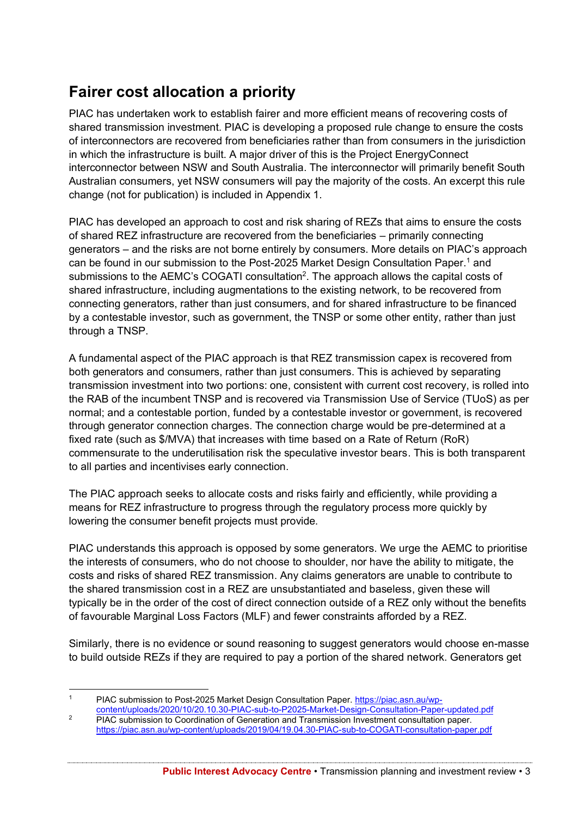# <span id="page-6-0"></span>**Fairer cost allocation a priority**

PIAC has undertaken work to establish fairer and more efficient means of recovering costs of shared transmission investment. PIAC is developing a proposed rule change to ensure the costs of interconnectors are recovered from beneficiaries rather than from consumers in the jurisdiction in which the infrastructure is built. A major driver of this is the Project EnergyConnect interconnector between NSW and South Australia. The interconnector will primarily benefit South Australian consumers, yet NSW consumers will pay the majority of the costs. An excerpt this rule change (not for publication) is included in Appendix 1.

PIAC has developed an approach to cost and risk sharing of REZs that aims to ensure the costs of shared REZ infrastructure are recovered from the beneficiaries – primarily connecting generators – and the risks are not borne entirely by consumers. More details on PIAC's approach can be found in our submission to the Post-2025 Market Design Consultation Paper.<sup>1</sup> and submissions to the AEMC's COGATI consultation<sup>2</sup>. The approach allows the capital costs of shared infrastructure, including augmentations to the existing network, to be recovered from connecting generators, rather than just consumers, and for shared infrastructure to be financed by a contestable investor, such as government, the TNSP or some other entity, rather than just through a TNSP.

A fundamental aspect of the PIAC approach is that REZ transmission capex is recovered from both generators and consumers, rather than just consumers. This is achieved by separating transmission investment into two portions: one, consistent with current cost recovery, is rolled into the RAB of the incumbent TNSP and is recovered via Transmission Use of Service (TUoS) as per normal; and a contestable portion, funded by a contestable investor or government, is recovered through generator connection charges. The connection charge would be pre-determined at a fixed rate (such as \$/MVA) that increases with time based on a Rate of Return (RoR) commensurate to the underutilisation risk the speculative investor bears. This is both transparent to all parties and incentivises early connection.

The PIAC approach seeks to allocate costs and risks fairly and efficiently, while providing a means for REZ infrastructure to progress through the regulatory process more quickly by lowering the consumer benefit projects must provide.

PIAC understands this approach is opposed by some generators. We urge the AEMC to prioritise the interests of consumers, who do not choose to shoulder, nor have the ability to mitigate, the costs and risks of shared REZ transmission. Any claims generators are unable to contribute to the shared transmission cost in a REZ are unsubstantiated and baseless, given these will typically be in the order of the cost of direct connection outside of a REZ only without the benefits of favourable Marginal Loss Factors (MLF) and fewer constraints afforded by a REZ.

Similarly, there is no evidence or sound reasoning to suggest generators would choose en-masse to build outside REZs if they are required to pay a portion of the shared network. Generators get

<sup>1</sup> PIAC submission to Post-2025 Market Design Consultation Paper. [https://piac.asn.au/wp](https://piac.asn.au/wp-content/uploads/2020/10/20.10.30-PIAC-sub-to-P2025-Market-Design-Consultation-Paper-updated.pdf)[content/uploads/2020/10/20.10.30-PIAC-sub-to-P2025-Market-Design-Consultation-Paper-updated.pdf](https://piac.asn.au/wp-content/uploads/2020/10/20.10.30-PIAC-sub-to-P2025-Market-Design-Consultation-Paper-updated.pdf)

<sup>&</sup>lt;sup>2</sup> PIAC submission to Coordination of Generation and Transmission Investment consultation paper. <https://piac.asn.au/wp-content/uploads/2019/04/19.04.30-PIAC-sub-to-COGATI-consultation-paper.pdf>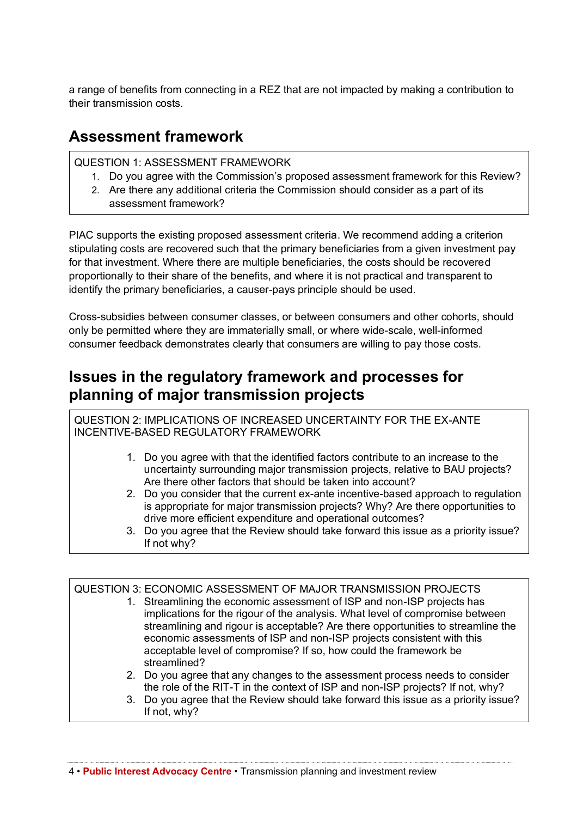a range of benefits from connecting in a REZ that are not impacted by making a contribution to their transmission costs.

### <span id="page-7-0"></span>**Assessment framework**

QUESTION 1: ASSESSMENT FRAMEWORK

- 1. Do you agree with the Commission's proposed assessment framework for this Review?
- 2. Are there any additional criteria the Commission should consider as a part of its assessment framework?

PIAC supports the existing proposed assessment criteria. We recommend adding a criterion stipulating costs are recovered such that the primary beneficiaries from a given investment pay for that investment. Where there are multiple beneficiaries, the costs should be recovered proportionally to their share of the benefits, and where it is not practical and transparent to identify the primary beneficiaries, a causer-pays principle should be used.

Cross-subsidies between consumer classes, or between consumers and other cohorts, should only be permitted where they are immaterially small, or where wide-scale, well-informed consumer feedback demonstrates clearly that consumers are willing to pay those costs.

### <span id="page-7-1"></span>**Issues in the regulatory framework and processes for planning of major transmission projects**

QUESTION 2: IMPLICATIONS OF INCREASED UNCERTAINTY FOR THE EX-ANTE INCENTIVE-BASED REGULATORY FRAMEWORK

- 1. Do you agree with that the identified factors contribute to an increase to the uncertainty surrounding major transmission projects, relative to BAU projects? Are there other factors that should be taken into account?
- 2. Do you consider that the current ex-ante incentive-based approach to regulation is appropriate for major transmission projects? Why? Are there opportunities to drive more efficient expenditure and operational outcomes?
- 3. Do you agree that the Review should take forward this issue as a priority issue? If not why?

QUESTION 3: ECONOMIC ASSESSMENT OF MAJOR TRANSMISSION PROJECTS

- 1. Streamlining the economic assessment of ISP and non-ISP projects has implications for the rigour of the analysis. What level of compromise between streamlining and rigour is acceptable? Are there opportunities to streamline the economic assessments of ISP and non-ISP projects consistent with this acceptable level of compromise? If so, how could the framework be streamlined?
- 2. Do you agree that any changes to the assessment process needs to consider the role of the RIT-T in the context of ISP and non-ISP projects? If not, why?
- 3. Do you agree that the Review should take forward this issue as a priority issue? If not, why?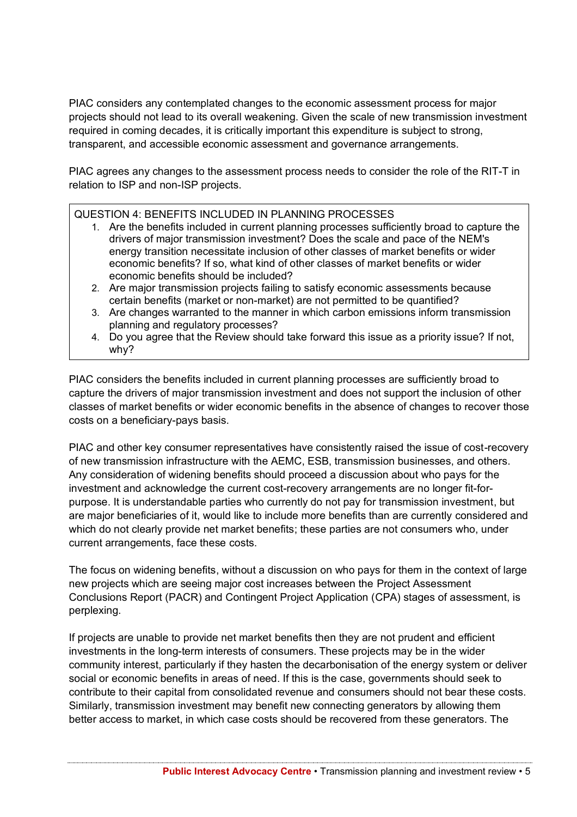PIAC considers any contemplated changes to the economic assessment process for major projects should not lead to its overall weakening. Given the scale of new transmission investment required in coming decades, it is critically important this expenditure is subject to strong, transparent, and accessible economic assessment and governance arrangements.

PIAC agrees any changes to the assessment process needs to consider the role of the RIT-T in relation to ISP and non-ISP projects.

QUESTION 4: BENEFITS INCLUDED IN PLANNING PROCESSES

- 1. Are the benefits included in current planning processes sufficiently broad to capture the drivers of major transmission investment? Does the scale and pace of the NEM's energy transition necessitate inclusion of other classes of market benefits or wider economic benefits? If so, what kind of other classes of market benefits or wider economic benefits should be included?
- 2. Are major transmission projects failing to satisfy economic assessments because certain benefits (market or non-market) are not permitted to be quantified?
- 3. Are changes warranted to the manner in which carbon emissions inform transmission planning and regulatory processes?
- 4. Do you agree that the Review should take forward this issue as a priority issue? If not, why?

PIAC considers the benefits included in current planning processes are sufficiently broad to capture the drivers of major transmission investment and does not support the inclusion of other classes of market benefits or wider economic benefits in the absence of changes to recover those costs on a beneficiary-pays basis.

PIAC and other key consumer representatives have consistently raised the issue of cost-recovery of new transmission infrastructure with the AEMC, ESB, transmission businesses, and others. Any consideration of widening benefits should proceed a discussion about who pays for the investment and acknowledge the current cost-recovery arrangements are no longer fit-forpurpose. It is understandable parties who currently do not pay for transmission investment, but are major beneficiaries of it, would like to include more benefits than are currently considered and which do not clearly provide net market benefits; these parties are not consumers who, under current arrangements, face these costs.

The focus on widening benefits, without a discussion on who pays for them in the context of large new projects which are seeing major cost increases between the Project Assessment Conclusions Report (PACR) and Contingent Project Application (CPA) stages of assessment, is perplexing.

If projects are unable to provide net market benefits then they are not prudent and efficient investments in the long-term interests of consumers. These projects may be in the wider community interest, particularly if they hasten the decarbonisation of the energy system or deliver social or economic benefits in areas of need. If this is the case, governments should seek to contribute to their capital from consolidated revenue and consumers should not bear these costs. Similarly, transmission investment may benefit new connecting generators by allowing them better access to market, in which case costs should be recovered from these generators. The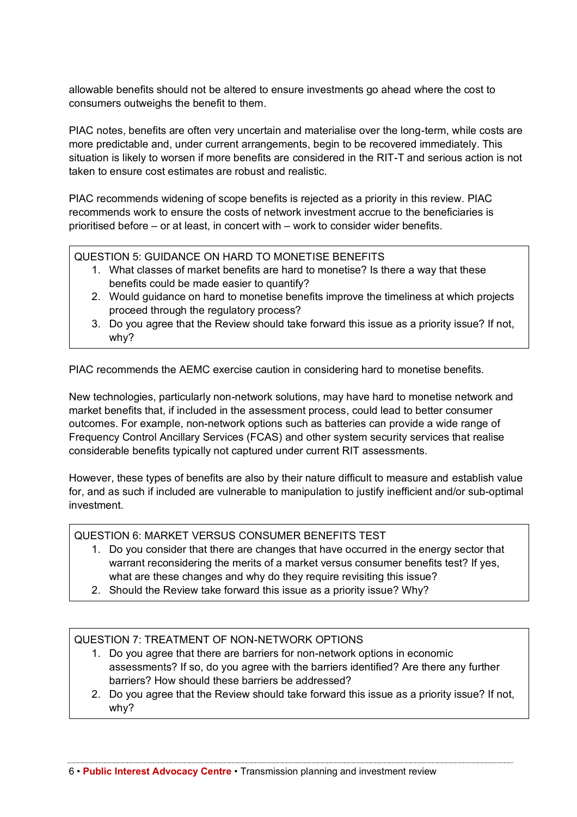allowable benefits should not be altered to ensure investments go ahead where the cost to consumers outweighs the benefit to them.

PIAC notes, benefits are often very uncertain and materialise over the long-term, while costs are more predictable and, under current arrangements, begin to be recovered immediately. This situation is likely to worsen if more benefits are considered in the RIT-T and serious action is not taken to ensure cost estimates are robust and realistic.

PIAC recommends widening of scope benefits is rejected as a priority in this review. PIAC recommends work to ensure the costs of network investment accrue to the beneficiaries is prioritised before – or at least, in concert with – work to consider wider benefits.

QUESTION 5: GUIDANCE ON HARD TO MONETISE BENEFITS

- 1. What classes of market benefits are hard to monetise? Is there a way that these benefits could be made easier to quantify?
- 2. Would guidance on hard to monetise benefits improve the timeliness at which projects proceed through the regulatory process?
- 3. Do you agree that the Review should take forward this issue as a priority issue? If not, why?

PIAC recommends the AEMC exercise caution in considering hard to monetise benefits.

New technologies, particularly non-network solutions, may have hard to monetise network and market benefits that, if included in the assessment process, could lead to better consumer outcomes. For example, non-network options such as batteries can provide a wide range of Frequency Control Ancillary Services (FCAS) and other system security services that realise considerable benefits typically not captured under current RIT assessments.

However, these types of benefits are also by their nature difficult to measure and establish value for, and as such if included are vulnerable to manipulation to justify inefficient and/or sub-optimal investment.

QUESTION 6: MARKET VERSUS CONSUMER BENEFITS TEST

- 1. Do you consider that there are changes that have occurred in the energy sector that warrant reconsidering the merits of a market versus consumer benefits test? If yes, what are these changes and why do they require revisiting this issue?
- 2. Should the Review take forward this issue as a priority issue? Why?

QUESTION 7: TREATMENT OF NON-NETWORK OPTIONS

- 1. Do you agree that there are barriers for non-network options in economic assessments? If so, do you agree with the barriers identified? Are there any further barriers? How should these barriers be addressed?
- 2. Do you agree that the Review should take forward this issue as a priority issue? If not, why?

6 • **Public Interest Advocacy Centre** • Transmission planning and investment review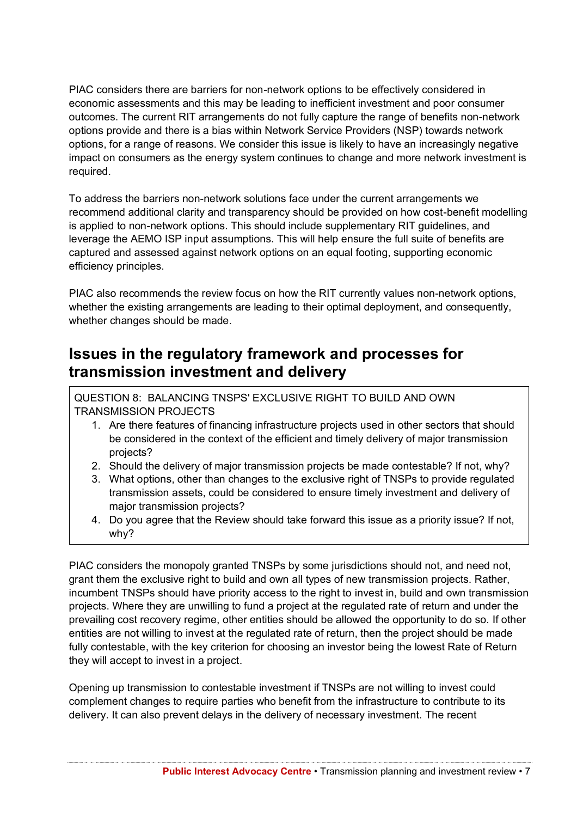PIAC considers there are barriers for non-network options to be effectively considered in economic assessments and this may be leading to inefficient investment and poor consumer outcomes. The current RIT arrangements do not fully capture the range of benefits non-network options provide and there is a bias within Network Service Providers (NSP) towards network options, for a range of reasons. We consider this issue is likely to have an increasingly negative impact on consumers as the energy system continues to change and more network investment is required.

To address the barriers non-network solutions face under the current arrangements we recommend additional clarity and transparency should be provided on how cost-benefit modelling is applied to non-network options. This should include supplementary RIT guidelines, and leverage the AEMO ISP input assumptions. This will help ensure the full suite of benefits are captured and assessed against network options on an equal footing, supporting economic efficiency principles.

PIAC also recommends the review focus on how the RIT currently values non-network options, whether the existing arrangements are leading to their optimal deployment, and consequently, whether changes should be made.

### <span id="page-10-0"></span>**Issues in the regulatory framework and processes for transmission investment and delivery**

QUESTION 8: BALANCING TNSPS' EXCLUSIVE RIGHT TO BUILD AND OWN TRANSMISSION PROJECTS

- 1. Are there features of financing infrastructure projects used in other sectors that should be considered in the context of the efficient and timely delivery of major transmission projects?
- 2. Should the delivery of major transmission projects be made contestable? If not, why?
- 3. What options, other than changes to the exclusive right of TNSPs to provide regulated transmission assets, could be considered to ensure timely investment and delivery of major transmission projects?
- 4. Do you agree that the Review should take forward this issue as a priority issue? If not, why?

PIAC considers the monopoly granted TNSPs by some jurisdictions should not, and need not, grant them the exclusive right to build and own all types of new transmission projects. Rather, incumbent TNSPs should have priority access to the right to invest in, build and own transmission projects. Where they are unwilling to fund a project at the regulated rate of return and under the prevailing cost recovery regime, other entities should be allowed the opportunity to do so. If other entities are not willing to invest at the regulated rate of return, then the project should be made fully contestable, with the key criterion for choosing an investor being the lowest Rate of Return they will accept to invest in a project.

Opening up transmission to contestable investment if TNSPs are not willing to invest could complement changes to require parties who benefit from the infrastructure to contribute to its delivery. It can also prevent delays in the delivery of necessary investment. The recent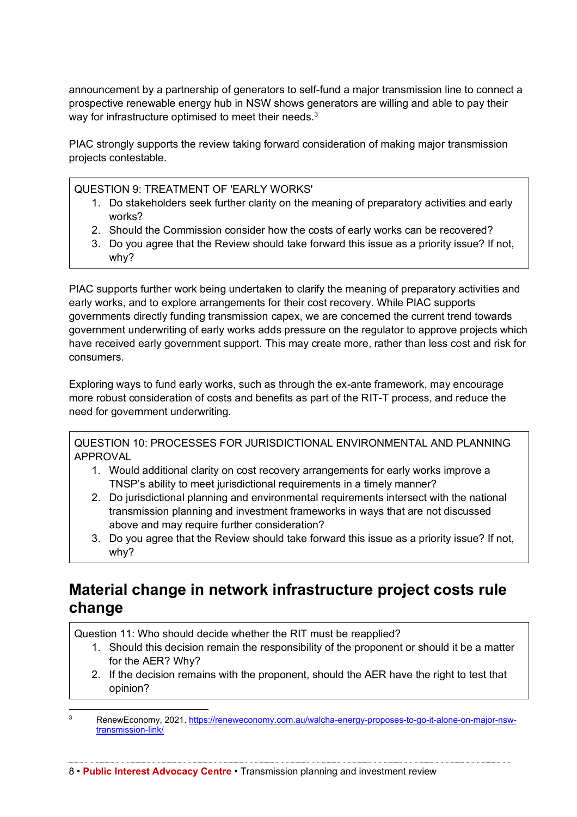announcement by a partnership of generators to self-fund a major transmission line to connect a prospective renewable energy hub in NSW shows generators are willing and able to pay their way for infrastructure optimised to meet their needs.<sup>3</sup>

PIAC strongly supports the review taking forward consideration of making major transmission projects contestable.

QUESTION 9: TREATMENT OF 'EARLY WORKS'

- 1. Do stakeholders seek further clarity on the meaning of preparatory activities and early works?
- 2. Should the Commission consider how the costs of early works can be recovered?
- 3. Do you agree that the Review should take forward this issue as a priority issue? If not, why?

PIAC supports further work being undertaken to clarify the meaning of preparatory activities and early works, and to explore arrangements for their cost recovery. While PIAC supports governments directly funding transmission capex, we are concerned the current trend towards government underwriting of early works adds pressure on the regulator to approve projects which have received early government support. This may create more, rather than less cost and risk for consumers.

Exploring ways to fund early works, such as through the ex-ante framework, may encourage more robust consideration of costs and benefits as part of the RIT-T process, and reduce the need for government underwriting.

QUESTION 10: PROCESSES FOR JURISDICTIONAL ENVIRONMENTAL AND PLANNING APPROVAL

- 1. Would additional clarity on cost recovery arrangements for early works improve a TNSP's ability to meet jurisdictional requirements in a timely manner?
- 2. Do jurisdictional planning and environmental requirements intersect with the national transmission planning and investment frameworks in ways that are not discussed above and may require further consideration?
- 3. Do you agree that the Review should take forward this issue as a priority issue? If not, why?

### <span id="page-11-0"></span>**Material change in network infrastructure project costs rule change**

Question 11: Who should decide whether the RIT must be reapplied?

- 1. Should this decision remain the responsibility of the proponent or should it be a matter for the AER? Why?
- 2. If the decision remains with the proponent, should the AER have the right to test that opinion?

8 • **Public Interest Advocacy Centre** • Transmission planning and investment review

<sup>3</sup> RenewEconomy, 2021. [https://reneweconomy.com.au/walcha-energy-proposes-to-go-it-alone-on-major-nsw](https://reneweconomy.com.au/walcha-energy-proposes-to-go-it-alone-on-major-nsw-transmission-link/)[transmission-link/](https://reneweconomy.com.au/walcha-energy-proposes-to-go-it-alone-on-major-nsw-transmission-link/)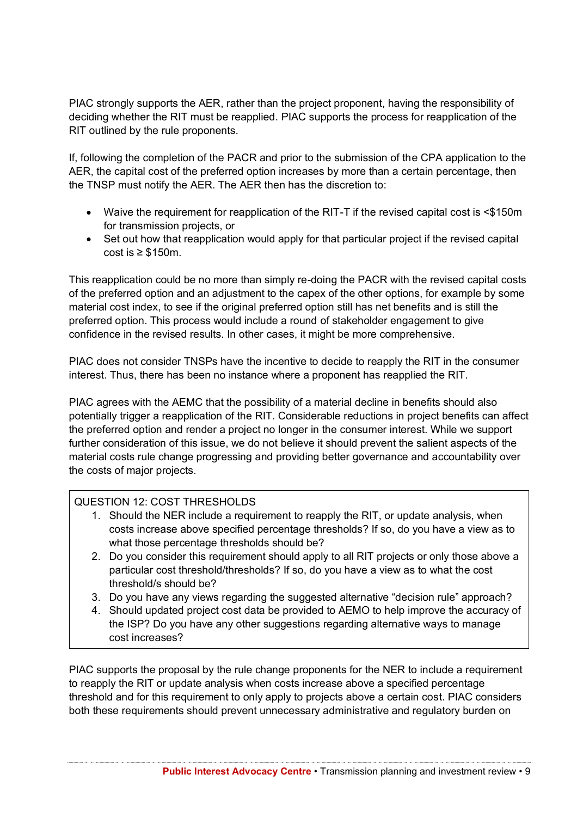PIAC strongly supports the AER, rather than the project proponent, having the responsibility of deciding whether the RIT must be reapplied. PIAC supports the process for reapplication of the RIT outlined by the rule proponents.

If, following the completion of the PACR and prior to the submission of the CPA application to the AER, the capital cost of the preferred option increases by more than a certain percentage, then the TNSP must notify the AER. The AER then has the discretion to:

- Waive the requirement for reapplication of the RIT-T if the revised capital cost is  $\leq 150$ m for transmission projects, or
- Set out how that reapplication would apply for that particular project if the revised capital cost is ≥ \$150m.

This reapplication could be no more than simply re-doing the PACR with the revised capital costs of the preferred option and an adjustment to the capex of the other options, for example by some material cost index, to see if the original preferred option still has net benefits and is still the preferred option. This process would include a round of stakeholder engagement to give confidence in the revised results. In other cases, it might be more comprehensive.

PIAC does not consider TNSPs have the incentive to decide to reapply the RIT in the consumer interest. Thus, there has been no instance where a proponent has reapplied the RIT.

PIAC agrees with the AEMC that the possibility of a material decline in benefits should also potentially trigger a reapplication of the RIT. Considerable reductions in project benefits can affect the preferred option and render a project no longer in the consumer interest. While we support further consideration of this issue, we do not believe it should prevent the salient aspects of the material costs rule change progressing and providing better governance and accountability over the costs of major projects.

#### QUESTION 12: COST THRESHOLDS

- 1. Should the NER include a requirement to reapply the RIT, or update analysis, when costs increase above specified percentage thresholds? If so, do you have a view as to what those percentage thresholds should be?
- 2. Do you consider this requirement should apply to all RIT projects or only those above a particular cost threshold/thresholds? If so, do you have a view as to what the cost threshold/s should be?
- 3. Do you have any views regarding the suggested alternative "decision rule" approach?
- 4. Should updated project cost data be provided to AEMO to help improve the accuracy of the ISP? Do you have any other suggestions regarding alternative ways to manage cost increases?

PIAC supports the proposal by the rule change proponents for the NER to include a requirement to reapply the RIT or update analysis when costs increase above a specified percentage threshold and for this requirement to only apply to projects above a certain cost. PIAC considers both these requirements should prevent unnecessary administrative and regulatory burden on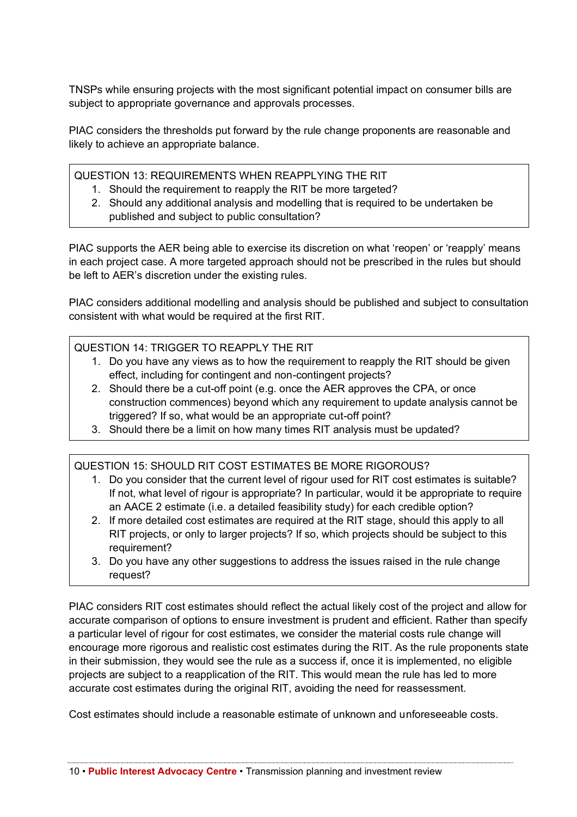TNSPs while ensuring projects with the most significant potential impact on consumer bills are subject to appropriate governance and approvals processes.

PIAC considers the thresholds put forward by the rule change proponents are reasonable and likely to achieve an appropriate balance.

QUESTION 13: REQUIREMENTS WHEN REAPPLYING THE RIT

- 1. Should the requirement to reapply the RIT be more targeted?
- 2. Should any additional analysis and modelling that is required to be undertaken be published and subject to public consultation?

PIAC supports the AER being able to exercise its discretion on what 'reopen' or 'reapply' means in each project case. A more targeted approach should not be prescribed in the rules but should be left to AER's discretion under the existing rules.

PIAC considers additional modelling and analysis should be published and subject to consultation consistent with what would be required at the first RIT.

#### QUESTION 14: TRIGGER TO REAPPLY THE RIT

- 1. Do you have any views as to how the requirement to reapply the RIT should be given effect, including for contingent and non-contingent projects?
- 2. Should there be a cut-off point (e.g. once the AER approves the CPA, or once construction commences) beyond which any requirement to update analysis cannot be triggered? If so, what would be an appropriate cut-off point?
- 3. Should there be a limit on how many times RIT analysis must be updated?

QUESTION 15: SHOULD RIT COST ESTIMATES BE MORE RIGOROUS?

- 1. Do you consider that the current level of rigour used for RIT cost estimates is suitable? If not, what level of rigour is appropriate? In particular, would it be appropriate to require an AACE 2 estimate (i.e. a detailed feasibility study) for each credible option?
- 2. If more detailed cost estimates are required at the RIT stage, should this apply to all RIT projects, or only to larger projects? If so, which projects should be subject to this requirement?
- 3. Do you have any other suggestions to address the issues raised in the rule change request?

PIAC considers RIT cost estimates should reflect the actual likely cost of the project and allow for accurate comparison of options to ensure investment is prudent and efficient. Rather than specify a particular level of rigour for cost estimates, we consider the material costs rule change will encourage more rigorous and realistic cost estimates during the RIT. As the rule proponents state in their submission, they would see the rule as a success if, once it is implemented, no eligible projects are subject to a reapplication of the RIT. This would mean the rule has led to more accurate cost estimates during the original RIT, avoiding the need for reassessment.

Cost estimates should include a reasonable estimate of unknown and unforeseeable costs.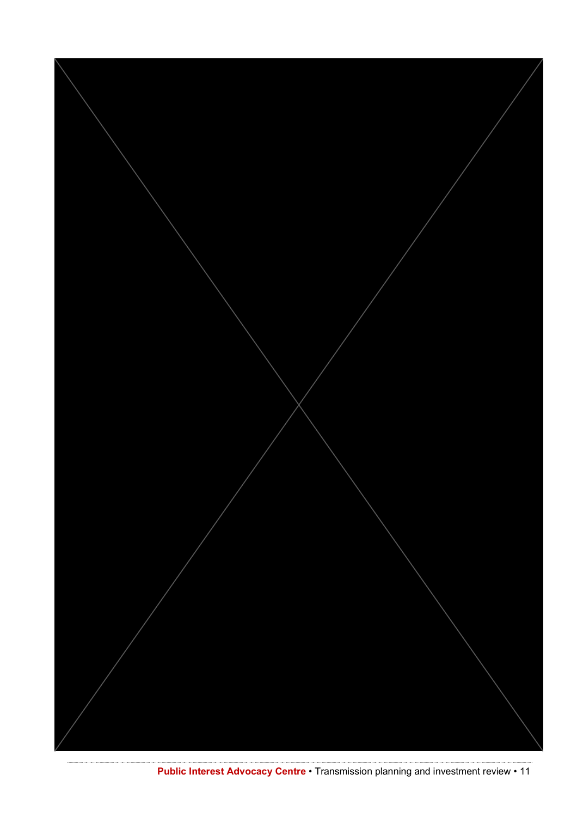<span id="page-14-3"></span><span id="page-14-2"></span><span id="page-14-1"></span><span id="page-14-0"></span>

**Public Interest Advocacy Centre** • Transmission planning and investment review • 11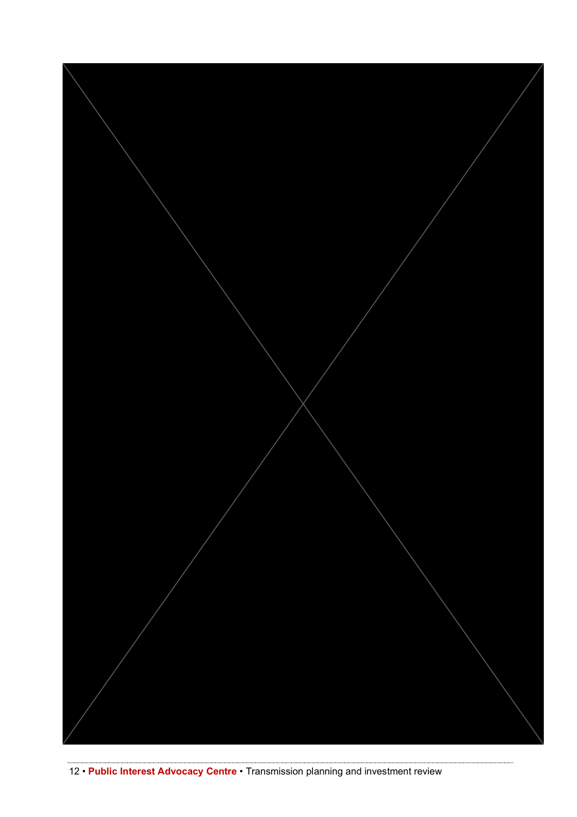

• **Public Interest Advocacy Centre** • Transmission planning and investment review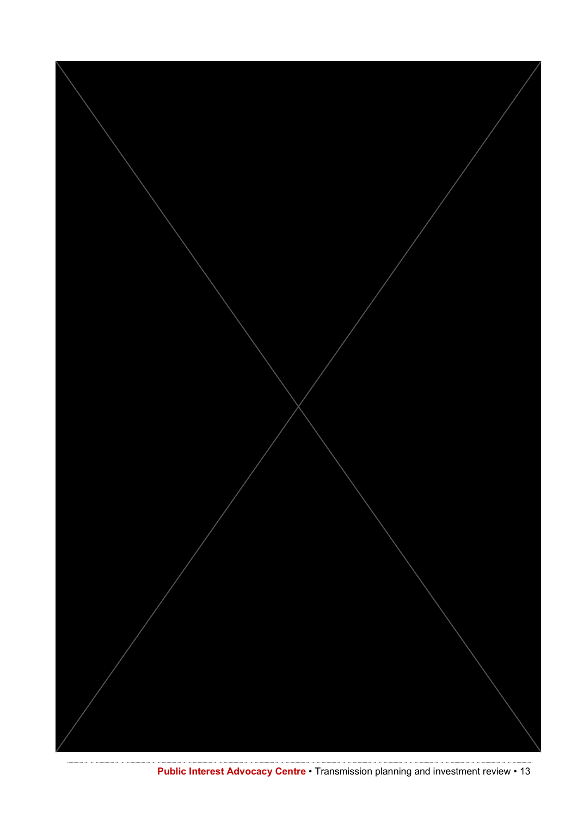

**Public Interest Advocacy Centre** • Transmission planning and investment review • 13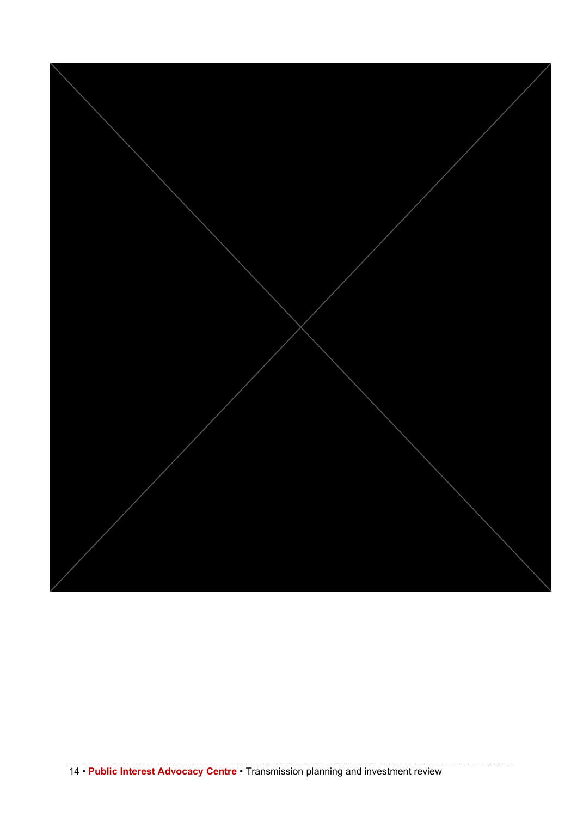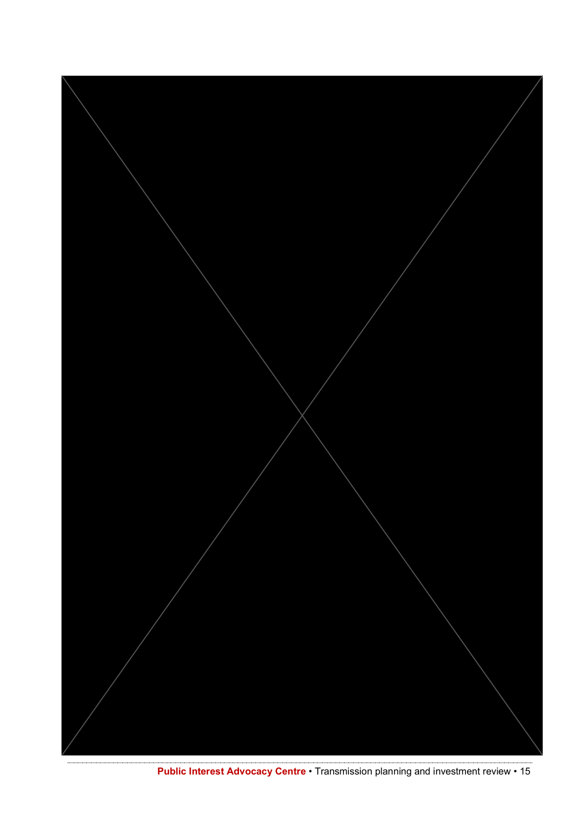

**Public Interest Advocacy Centre** • Transmission planning and investment review • 15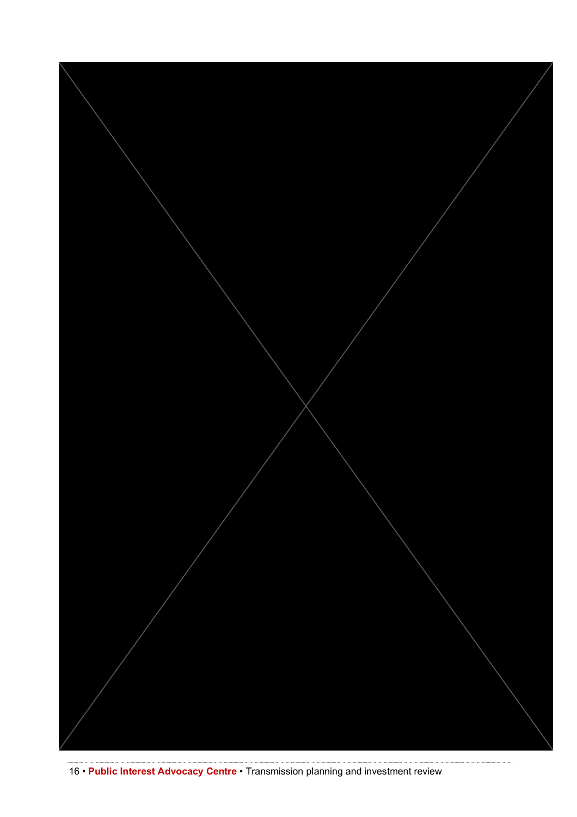<span id="page-19-0"></span>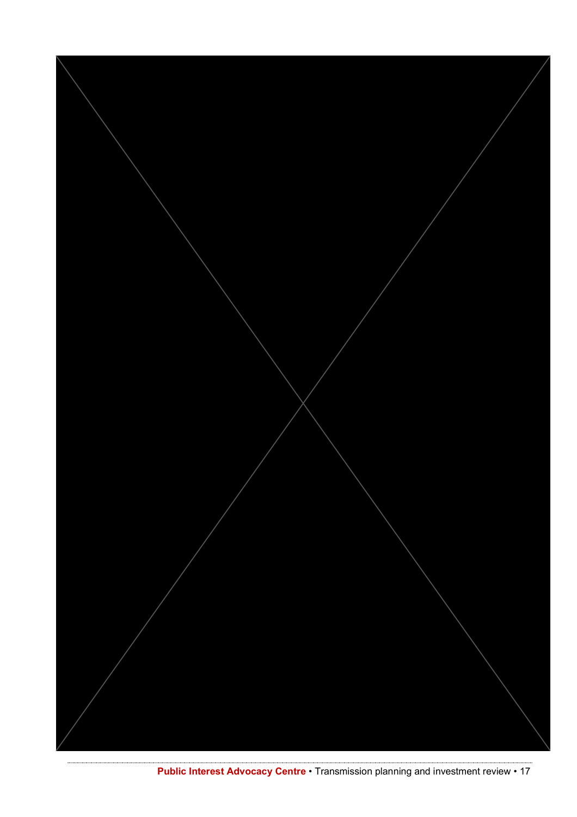

**Public Interest Advocacy Centre** • Transmission planning and investment review • 17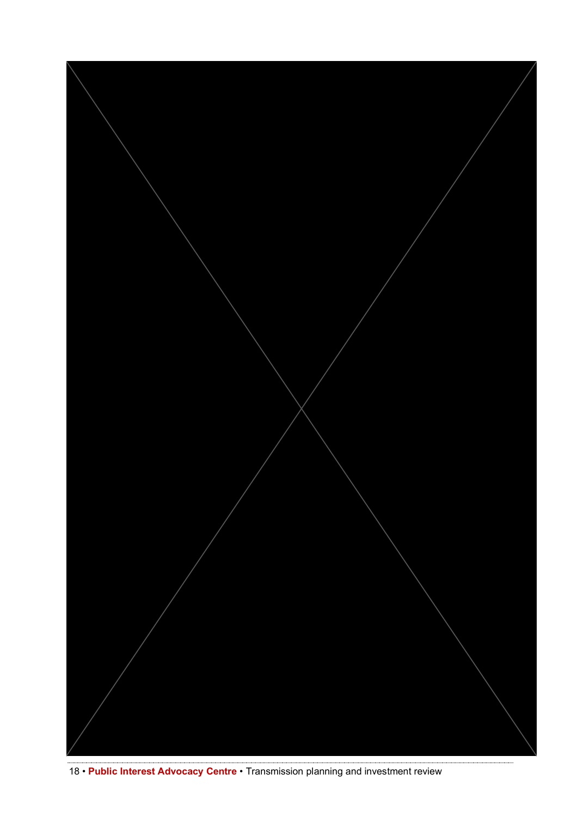

• **Public Interest Advocacy Centre** • Transmission planning and investment review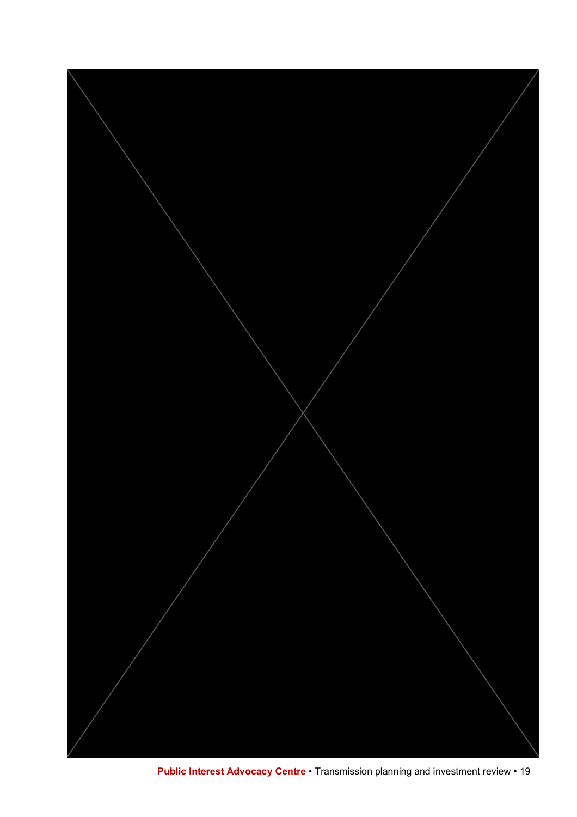

<span id="page-22-1"></span><span id="page-22-0"></span>**Public Interest Advocacy Centre** • Transmission planning and investment review • 19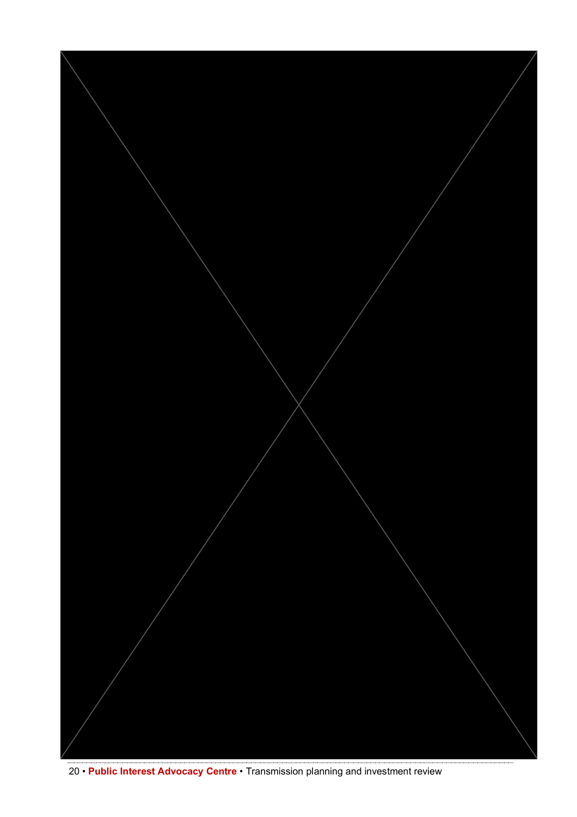<span id="page-23-0"></span>

• **Public Interest Advocacy Centre** • Transmission planning and investment review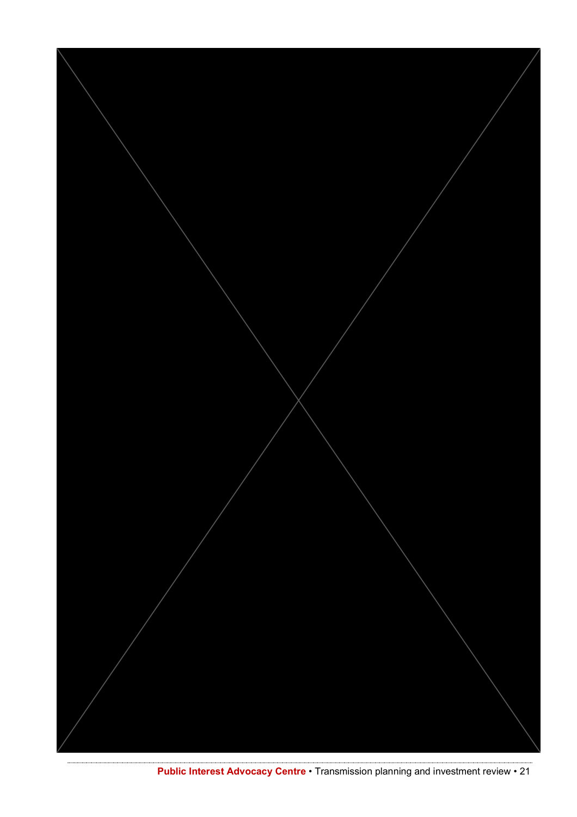<span id="page-24-0"></span>

**Public Interest Advocacy Centre** • Transmission planning and investment review • 21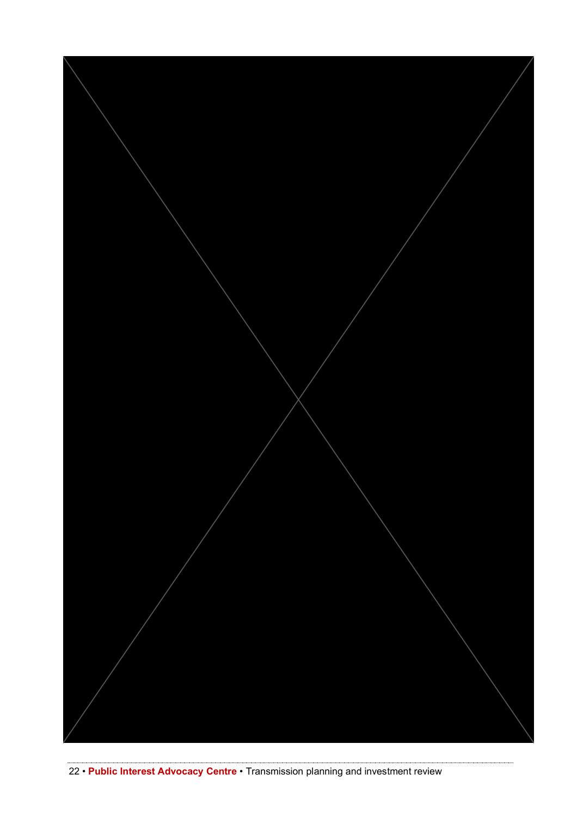<span id="page-25-0"></span>

<span id="page-25-1"></span>• **Public Interest Advocacy Centre** • Transmission planning and investment review